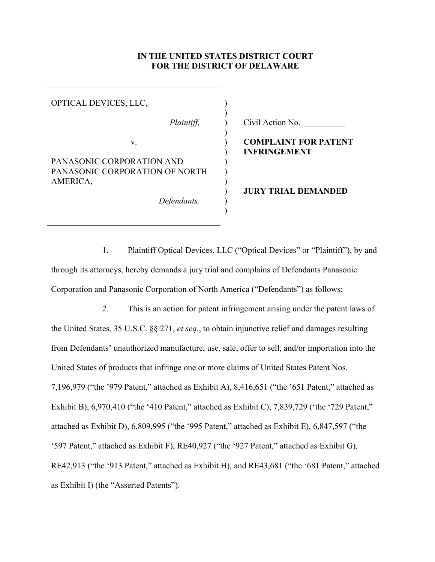#### **IN THE UNITED STATES DISTRICT COURT FOR THE DISTRICT OF DELAWARE**

)  $\lambda$ ) ) ) ) ) ) ) ) )

OPTICAL DEVICES, LLC, ) PANASONIC CORPORATION AND PANASONIC CORPORATION OF NORTH AMERICA, *Defendants.*

*Plaintiff,*  $\qquad$  ) Civil Action No.

# v. **COMPLAINT FOR PATENT INFRINGEMENT**

<span id="page-0-3"></span><span id="page-0-1"></span><span id="page-0-0"></span>**JURY TRIAL DEMANDED**

1. Plaintiff Optical Devices, LLC ("Optical Devices" or "Plaintiff"), by and through its attorneys, hereby demands a jury trial and complains of Defendants Panasonic Corporation and Panasonic Corporation of North America (["Defendants"](#page-0-0)) as follows:

<span id="page-0-2"></span>2. This is an action for patent infringement arising under the patent laws of the United States, 35 U.S.C. §§ 271, *et seq.*, to obtain injunctive relief and damages resulting from [Defendants'](#page-0-0) unauthorized manufacture, use, sale, offer to sell, and/or importation into the United States of products that infringe one or more claims of United States Patent Nos. 7,196,979 ("the '979 Patent," attached as Exhibit A), 8,416,651 ("the '651 Patent," attached as Exhibit B), 6,970,410 ("the '410 Patent," attached as Exhibit C), 7,839,729 ('the '729 Patent," attached as Exhibit D), 6,809,995 ("the '995 Patent," attached as Exhibit E), 6,847,597 ("the '597 Patent," attached as Exhibit F), RE40,927 ("the '927 Patent," attached as Exhibit G), RE42,913 ("the '913 Patent," attached as Exhibit H), and RE43,681 ("the '681 Patent," attached as Exhibit I) (the "Asserted Patents").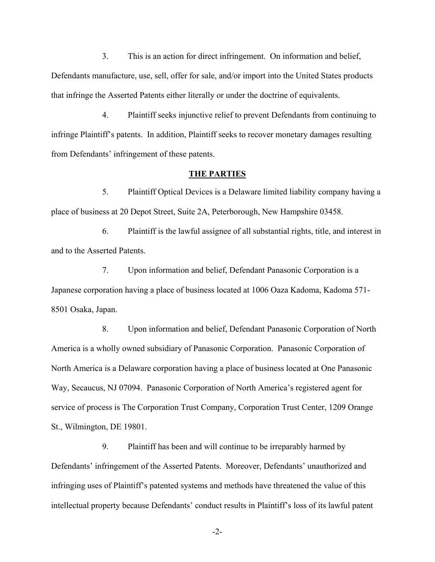3. This is an action for direct infringement. On information and belief, [Defendants](#page-0-0) manufacture, use, sell, offer for sale, and/or import into the United States products that infringe the Asserted Patents either literally or under the doctrine of equivalents.

4. Plaintiff seeks injunctive relief to prevent [Defendants](#page-0-0) from continuing to infringe Plaintiff's patents. In addition, Plaintiff seeks to recover monetary damages resulting from [Defendants'](#page-0-0) infringement of these patents.

#### **THE PARTIES**

5. Plaintiff Optical Devices is a Delaware limited liability company having a place of business at 20 Depot Street, Suite 2A, Peterborough, New Hampshire 03458.

6. Plaintiff is the lawful assignee of all substantial rights, title, and interest in and to the Asserted Patents.

7. Upon information and belief, Defendant [Panasonic Corporation](#page-0-1) is a Japanese corporation having a place of business located at 1006 Oaza Kadoma, Kadoma 571- 8501 Osaka, Japan.

8. Upon information and belief, Defendant Panasonic Corporation of North America is a wholly owned subsidiary of Panasonic Corporation. Panasonic Corporation of North America is a Delaware corporation having a place of business located at One Panasonic Way, Secaucus, NJ 07094. Panasonic Corporation of North America's registered agent for service of process is The Corporation Trust Company, Corporation Trust Center, 1209 Orange St., Wilmington, DE 19801.

9. Plaintiff has been and will continue to be irreparably harmed by [Defendants'](#page-0-0) infringement of the Asserted Patents. Moreover, [Defendants'](#page-0-0) unauthorized and infringing uses of Plaintiff's patented systems and methods have threatened the value of this intellectual property because [Defendants'](#page-0-0) conduct results in Plaintiff's loss of its lawful patent

-2-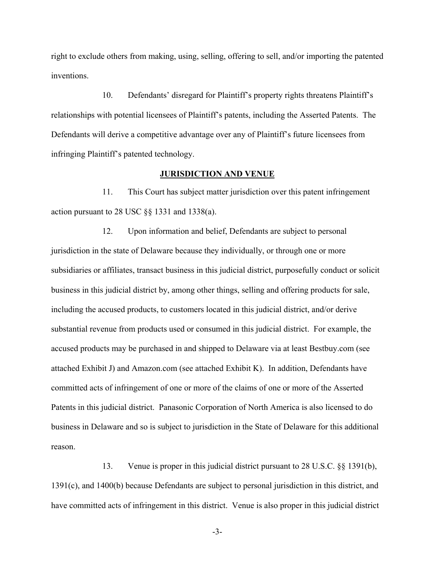right to exclude others from making, using, selling, offering to sell, and/or importing the patented inventions.

10. [Defendants'](#page-0-0) disregard for Plaintiff's property rights threatens Plaintiff's relationships with potential licensees of Plaintiff's patents, including the Asserted Patents. The [Defendants](#page-0-0) will derive a competitive advantage over any of Plaintiff's future licensees from infringing Plaintiff's patented technology.

#### **JURISDICTION AND VENUE**

11. This Court has subject matter jurisdiction over this patent infringement action pursuant to 28 USC §§ 1331 and 1338(a).

12. Upon information and belief, [Defendants](#page-0-0) are subject to personal jurisdiction in the state of Delaware because they individually, or through one or more subsidiaries or affiliates, transact business in this judicial district, purposefully conduct or solicit business in this judicial district by, among other things, selling and offering products for sale, including the accused products, to customers located in this judicial district, and/or derive substantial revenue from products used or consumed in this judicial district. For example, the accused products may be purchased in and shipped to Delaware via at least Bestbuy.com (see attached Exhibit J) and Amazon.com (see attached Exhibit K). In addition, [Defendants](#page-0-0) have committed acts of infringement of one or more of the claims of one or more of the Asserted Patents in this judicial district. Panasonic Corporation of North America is also licensed to do business in Delaware and so is subject to jurisdiction in the State of Delaware for this additional reason.

<span id="page-2-0"></span>13. Venue is proper in this judicial district pursuant to 28 U.S.C. §§ 1391(b), 1391(c), and 1400(b) because [Defendants](#page-0-0) are subject to personal jurisdiction in this district, and have committed acts of infringement in this district. Venue is also proper in this judicial district

-3-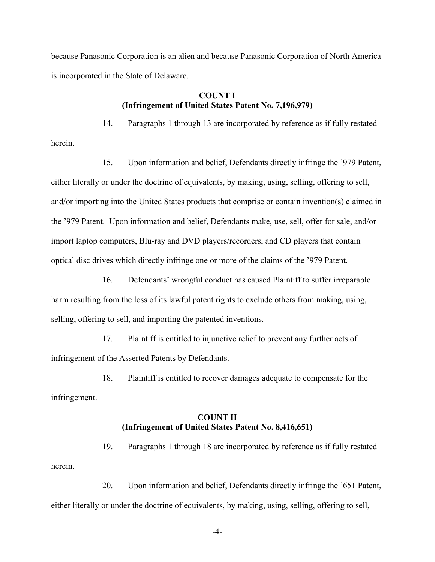because Panasonic Corporation is an alien and because Panasonic Corporation of North America is incorporated in the State of Delaware.

#### **COUNT I (Infringement of United States Patent No. 7,196,979)**

herein.

14. Paragraphs 1 through [13](#page-2-0) are incorporated by reference as if fully restated

15. Upon information and belief, [Defendants](#page-0-0) directly infringe the '979 [Patent,](#page-0-2) either literally or under the doctrine of equivalents, by making, using, selling, offering to sell, and/or importing into the United States products that comprise or contain invention(s) claimed in the '979 [Patent.](#page-0-2) Upon information and belief, [Defendants](#page-0-0) make, use, sell, offer for sale, and/or import laptop computers, Blu-ray and DVD players/recorders, and CD players that contain optical disc drives which directly infringe one or more of the claims of the '979 [Patent.](#page-0-2)

16. [Defendants'](#page-0-0) wrongful conduct has caused Plaintiff to suffer irreparable harm resulting from the loss of its lawful patent rights to exclude others from making, using, selling, offering to sell, and importing the patented inventions.

17. Plaintiff is entitled to injunctive relief to prevent any further acts of infringement of the Asserted Patents by [Defendants.](#page-0-0)

18. Plaintiff is entitled to recover damages adequate to compensate for the infringement.

# **COUNT II (Infringement of United States Patent No. 8,416,651)**

19. Paragraphs 1 through 18 are incorporated by reference as if fully restated herein.

20. Upon information and belief, [Defendants](#page-0-0) directly infringe the '651 [Patent,](#page-0-3) either literally or under the doctrine of equivalents, by making, using, selling, offering to sell,

-4-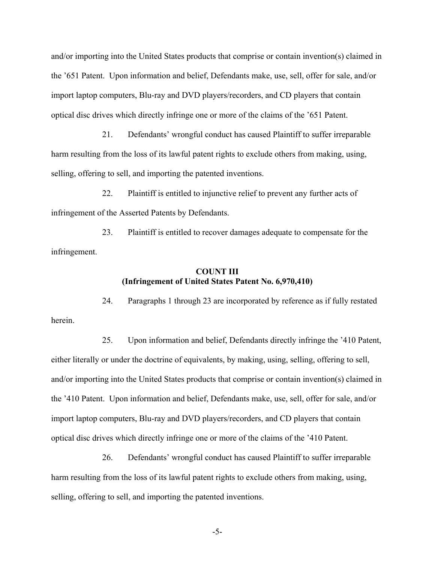and/or importing into the United States products that comprise or contain invention(s) claimed in the '651 [Patent.](#page-0-3) Upon information and belief, Defendants make, use, sell, offer for sale, and/or import laptop computers, Blu-ray and DVD players/recorders, and CD players that contain optical disc drives which directly infringe one or more of the claims of the '651 Patent.

21. [Defendants'](#page-0-0) wrongful conduct has caused Plaintiff to suffer irreparable harm resulting from the loss of its lawful patent rights to exclude others from making, using, selling, offering to sell, and importing the patented inventions.

22. Plaintiff is entitled to injunctive relief to prevent any further acts of infringement of the Asserted Patents by [Defendants.](#page-0-0)

23. Plaintiff is entitled to recover damages adequate to compensate for the infringement.

#### **COUNT III (Infringement of United States Patent No. 6,970,410)**

24. Paragraphs 1 through 23 are incorporated by reference as if fully restated herein.

25. Upon information and belief, [Defendants](#page-0-0) directly infringe the '410 Patent, either literally or under the doctrine of equivalents, by making, using, selling, offering to sell, and/or importing into the United States products that comprise or contain invention(s) claimed in the '410 Patent. Upon information and belief, Defendants make, use, sell, offer for sale, and/or import laptop computers, Blu-ray and DVD players/recorders, and CD players that contain optical disc drives which directly infringe one or more of the claims of the '410 Patent.

26. [Defendants'](#page-0-0) wrongful conduct has caused Plaintiff to suffer irreparable harm resulting from the loss of its lawful patent rights to exclude others from making, using, selling, offering to sell, and importing the patented inventions.

-5-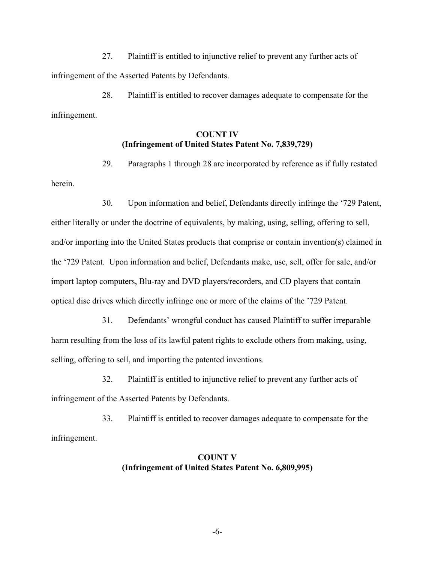27. Plaintiff is entitled to injunctive relief to prevent any further acts of infringement of the Asserted Patents by [Defendants.](#page-0-0)

28. Plaintiff is entitled to recover damages adequate to compensate for the infringement.

## **COUNT IV (Infringement of United States Patent No. 7,839,729)**

29. Paragraphs 1 through 28 are incorporated by reference as if fully restated herein.

30. Upon information and belief, [Defendants](#page-0-0) directly infringe the '729 Patent, either literally or under the doctrine of equivalents, by making, using, selling, offering to sell, and/or importing into the United States products that comprise or contain invention(s) claimed in the '729 Patent. Upon information and belief, Defendants make, use, sell, offer for sale, and/or import laptop computers, Blu-ray and DVD players/recorders, and CD players that contain optical disc drives which directly infringe one or more of the claims of the '729 Patent.

31. [Defendants'](#page-0-0) wrongful conduct has caused Plaintiff to suffer irreparable harm resulting from the loss of its lawful patent rights to exclude others from making, using, selling, offering to sell, and importing the patented inventions.

32. Plaintiff is entitled to injunctive relief to prevent any further acts of infringement of the Asserted Patents by [Defendants.](#page-0-0)

33. Plaintiff is entitled to recover damages adequate to compensate for the infringement.

# **COUNT V (Infringement of United States Patent No. 6,809,995)**

-6-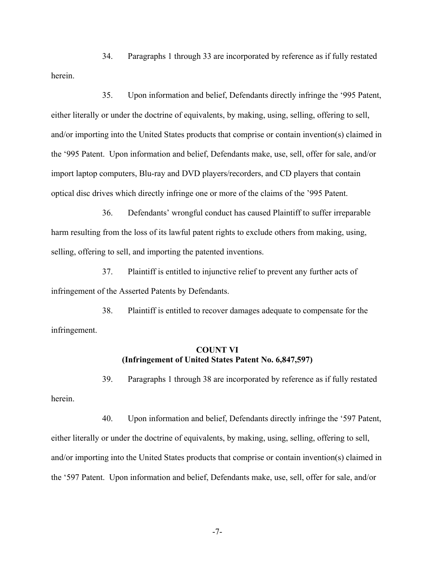34. Paragraphs 1 through 33 are incorporated by reference as if fully restated herein.

35. Upon information and belief, [Defendants](#page-0-0) directly infringe the '995 Patent, either literally or under the doctrine of equivalents, by making, using, selling, offering to sell, and/or importing into the United States products that comprise or contain invention(s) claimed in the '995 Patent. Upon information and belief, Defendants make, use, sell, offer for sale, and/or import laptop computers, Blu-ray and DVD players/recorders, and CD players that contain optical disc drives which directly infringe one or more of the claims of the '995 Patent.

36. [Defendants'](#page-0-0) wrongful conduct has caused Plaintiff to suffer irreparable harm resulting from the loss of its lawful patent rights to exclude others from making, using, selling, offering to sell, and importing the patented inventions.

37. Plaintiff is entitled to injunctive relief to prevent any further acts of infringement of the Asserted Patents by [Defendants.](#page-0-0)

38. Plaintiff is entitled to recover damages adequate to compensate for the infringement.

#### **COUNT VI (Infringement of United States Patent No. 6,847,597)**

herein.

39. Paragraphs 1 through 38 are incorporated by reference as if fully restated

40. Upon information and belief, [Defendants](#page-0-0) directly infringe the '597 Patent, either literally or under the doctrine of equivalents, by making, using, selling, offering to sell, and/or importing into the United States products that comprise or contain invention(s) claimed in the '597 Patent. Upon information and belief, Defendants make, use, sell, offer for sale, and/or

-7-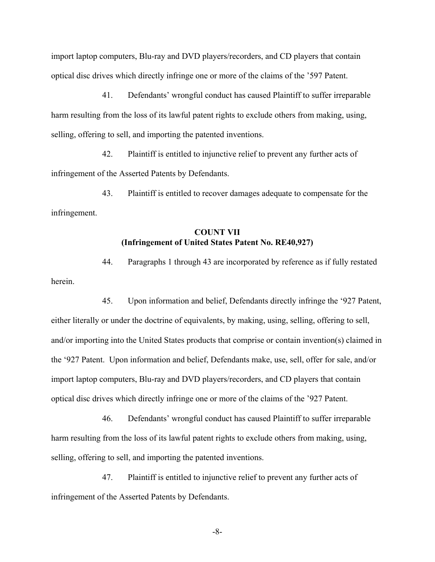import laptop computers, Blu-ray and DVD players/recorders, and CD players that contain optical disc drives which directly infringe one or more of the claims of the '597 Patent.

41. [Defendants'](#page-0-0) wrongful conduct has caused Plaintiff to suffer irreparable harm resulting from the loss of its lawful patent rights to exclude others from making, using, selling, offering to sell, and importing the patented inventions.

42. Plaintiff is entitled to injunctive relief to prevent any further acts of infringement of the Asserted Patents by [Defendants.](#page-0-0)

43. Plaintiff is entitled to recover damages adequate to compensate for the infringement.

# **COUNT VII (Infringement of United States Patent No. RE40,927)**

44. Paragraphs 1 through 43 are incorporated by reference as if fully restated herein.

45. Upon information and belief, [Defendants](#page-0-0) directly infringe the '927 Patent, either literally or under the doctrine of equivalents, by making, using, selling, offering to sell, and/or importing into the United States products that comprise or contain invention(s) claimed in the '927 Patent. Upon information and belief, Defendants make, use, sell, offer for sale, and/or import laptop computers, Blu-ray and DVD players/recorders, and CD players that contain optical disc drives which directly infringe one or more of the claims of the '927 Patent.

46. [Defendants'](#page-0-0) wrongful conduct has caused Plaintiff to suffer irreparable harm resulting from the loss of its lawful patent rights to exclude others from making, using, selling, offering to sell, and importing the patented inventions.

47. Plaintiff is entitled to injunctive relief to prevent any further acts of infringement of the Asserted Patents by [Defendants.](#page-0-0)

-8-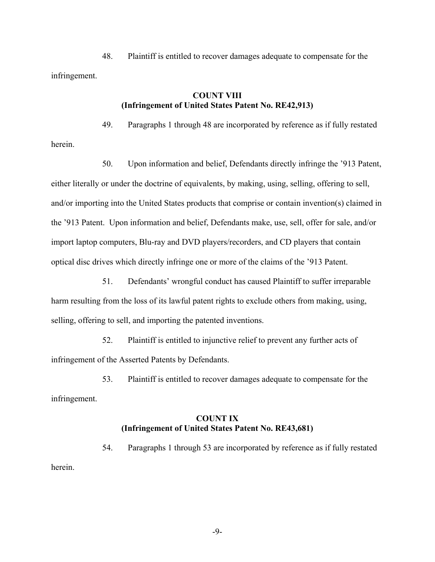48. Plaintiff is entitled to recover damages adequate to compensate for the infringement.

herein.

## **COUNT VIII (Infringement of United States Patent No. RE42,913)**

49. Paragraphs 1 through 48 are incorporated by reference as if fully restated

50. Upon information and belief, [Defendants](#page-0-0) directly infringe the '913 Patent, either literally or under the doctrine of equivalents, by making, using, selling, offering to sell, and/or importing into the United States products that comprise or contain invention(s) claimed in the '913 Patent. Upon information and belief, Defendants make, use, sell, offer for sale, and/or import laptop computers, Blu-ray and DVD players/recorders, and CD players that contain optical disc drives which directly infringe one or more of the claims of the '913 Patent.

51. [Defendants'](#page-0-0) wrongful conduct has caused Plaintiff to suffer irreparable harm resulting from the loss of its lawful patent rights to exclude others from making, using, selling, offering to sell, and importing the patented inventions.

52. Plaintiff is entitled to injunctive relief to prevent any further acts of infringement of the Asserted Patents by [Defendants.](#page-0-0)

53. Plaintiff is entitled to recover damages adequate to compensate for the infringement.

### **COUNT IX (Infringement of United States Patent No. RE43,681)**

54. Paragraphs 1 through 53 are incorporated by reference as if fully restated herein.

-9-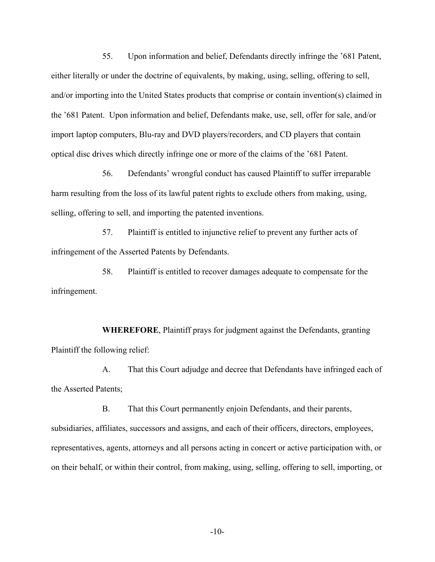55. Upon information and belief, [Defendants](#page-0-0) directly infringe the '681 Patent, either literally or under the doctrine of equivalents, by making, using, selling, offering to sell, and/or importing into the United States products that comprise or contain invention(s) claimed in the '681 Patent. Upon information and belief, Defendants make, use, sell, offer for sale, and/or import laptop computers, Blu-ray and DVD players/recorders, and CD players that contain optical disc drives which directly infringe one or more of the claims of the '681 Patent.

56. [Defendants'](#page-0-0) wrongful conduct has caused Plaintiff to suffer irreparable harm resulting from the loss of its lawful patent rights to exclude others from making, using, selling, offering to sell, and importing the patented inventions.

57. Plaintiff is entitled to injunctive relief to prevent any further acts of infringement of the Asserted Patents by [Defendants.](#page-0-0)

58. Plaintiff is entitled to recover damages adequate to compensate for the infringement.

**WHEREFORE**, Plaintiff prays for judgment against the [Defendants,](#page-0-0) granting Plaintiff the following relief:

A. That this Court adjudge and decree that [Defendants](#page-0-0) have infringed each of the Asserted Patents;

B. That this Court permanently enjoin [Defendants,](#page-0-0) and their parents, subsidiaries, affiliates, successors and assigns, and each of their officers, directors, employees, representatives, agents, attorneys and all persons acting in concert or active participation with, or on their behalf, or within their control, from making, using, selling, offering to sell, importing, or

-10-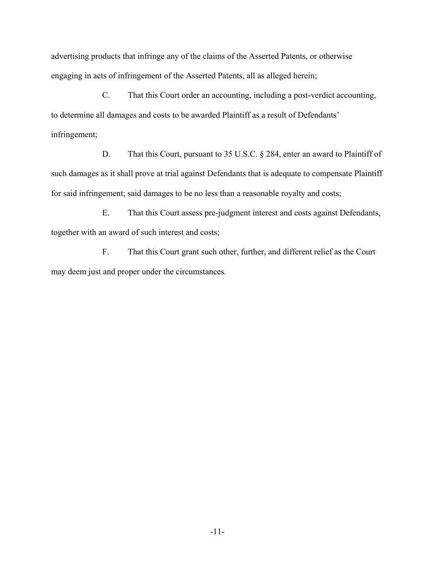advertising products that infringe any of the claims of the Asserted Patents, or otherwise engaging in acts of infringement of the Asserted Patents, all as alleged herein;

C. That this Court order an accounting, including a post-verdict accounting, to determine all damages and costs to be awarded Plaintiff as a result of [Defendants'](#page-0-0) infringement;

D. That this Court, pursuant to 35 U.S.C. § 284, enter an award to Plaintiff of such damages as it shall prove at trial against [Defendants](#page-0-0) that is adequate to compensate Plaintiff for said infringement; said damages to be no less than a reasonable royalty and costs;

E. That this Court assess pre-judgment interest and costs against [Defendants,](#page-0-0) together with an award of such interest and costs;

F. That this Court grant such other, further, and different relief as the Court may deem just and proper under the circumstances.